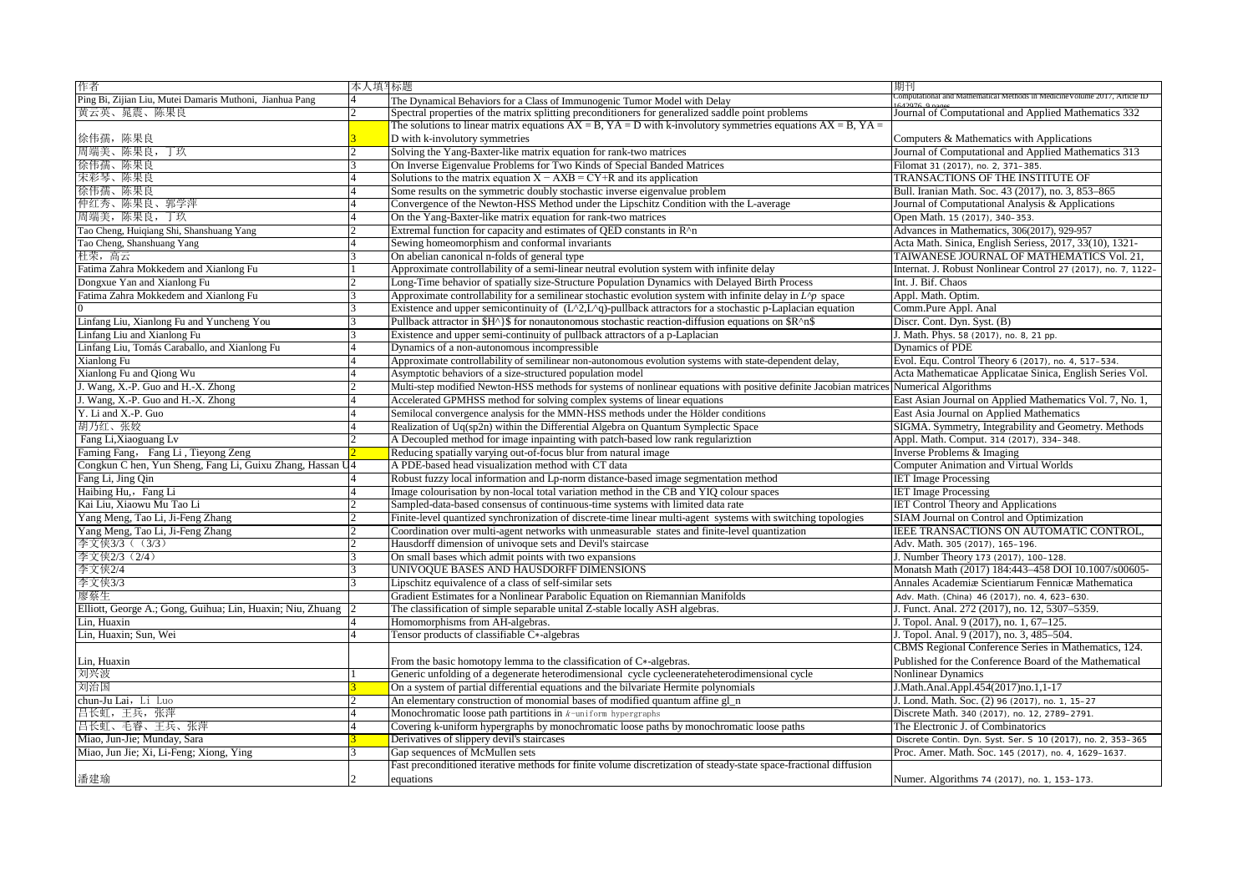| 作者                                                         | 本人填写标题 |                                                                                                                                         | 期刊                                                            |
|------------------------------------------------------------|--------|-----------------------------------------------------------------------------------------------------------------------------------------|---------------------------------------------------------------|
| Ping Bi, Zijian Liu, Mutei Damaris Muthoni, Jianhua Pang   |        | The Dynamical Behaviors for a Class of Immunogenic Tumor Model with Delay                                                               | ional and Mathematical Methods in Medicine Volume 201         |
| 黄云英、晁震、陈果良                                                 |        | Spectral properties of the matrix splitting preconditioners for generalized saddle point problems                                       | Journal of Computational and Applied Mathematics 332          |
|                                                            |        | The solutions to linear matrix equations $AX = B$ , $YA = D$ with k-involutory symmetries equations $AX = B$ , $YA = D$                 |                                                               |
| 徐伟孺,陈果良                                                    |        | D with k-involutory symmetries                                                                                                          | Computers & Mathematics with Applications                     |
| 周端美、陈果良,<br>丁玖                                             |        | Solving the Yang-Baxter-like matrix equation for rank-two matrices                                                                      | Journal of Computational and Applied Mathematics 313          |
| 徐伟孺、陈果良                                                    |        | On Inverse Eigenvalue Problems for Two Kinds of Special Banded Matrices                                                                 | Filomat 31 (2017), no. 2, 371-385.                            |
| 宋彩琴、陈果良                                                    |        | Solutions to the matrix equation $X - AXB = CY+R$ and its application                                                                   | TRANSACTIONS OF THE INSTITUTE OF                              |
| 徐伟孺、陈果良                                                    |        | Some results on the symmetric doubly stochastic inverse eigenvalue problem                                                              | Bull. Iranian Math. Soc. 43 (2017), no. 3, 853-865            |
| 仲红秀、陈果良、郭学萍                                                |        | Convergence of the Newton-HSS Method under the Lipschitz Condition with the L-average                                                   | Journal of Computational Analysis & Applications              |
| 周端美,陈果良,丁玖                                                 |        | On the Yang-Baxter-like matrix equation for rank-two matrices                                                                           | Open Math. 15 (2017), 340-353                                 |
| Tao Cheng, Huiqiang Shi, Shanshuang Yang                   |        | Extremal function for capacity and estimates of QED constants in R <sup>^n</sup>                                                        | Advances in Mathematics, 306(2017), 929-957                   |
| Tao Cheng, Shanshuang Yang                                 |        | Sewing homeomorphism and conformal invariants                                                                                           | Acta Math. Sinica, English Seriess, 2017, 33(10), 1321-       |
| 杜荣,高云                                                      |        | On abelian canonical n-folds of general type                                                                                            | TAIWANESE JOURNAL OF MATHEMATICS Vol. 21,                     |
| Fatima Zahra Mokkedem and Xianlong Fu                      |        | Approximate controllability of a semi-linear neutral evolution system with infinite delay                                               | Internat. J. Robust Nonlinear Control 27 (2017), no. 7, 1122- |
| Dongxue Yan and Xianlong Fu                                |        | Long-Time behavior of spatially size-Structure Population Dynamics with Delayed Birth Process                                           | Int. J. Bif. Chaos                                            |
| Fatima Zahra Mokkedem and Xianlong Fu                      |        | Approximate controllability for a semilinear stochastic evolution system with infinite delay in $L^{\wedge}p$ space                     | Appl. Math. Optim.                                            |
|                                                            |        | Existence and upper semicontinuity of $(L^2, L^2)$ -pullback attractors for a stochastic p-Laplacian equation                           | Comm.Pure Appl. Anal                                          |
| Linfang Liu, Xianlong Fu and Yuncheng You                  |        | Pullback attractor in $H^{\wedge}$ \$ for nonautonomous stochastic reaction-diffusion equations on $R^{\wedge}$                         | Discr. Cont. Dyn. Syst. (B)                                   |
| Linfang Liu and Xianlong Fu                                |        | Existence and upper semi-continuity of pullback attractors of a p-Laplacian                                                             | J. Math. Phys. 58 (2017), no. 8, 21 pp.                       |
| Linfang Liu, Tomás Caraballo, and Xianlong Fu              |        | Dynamics of a non-autonomous incompressible                                                                                             | Dynamics of PDE                                               |
| Xianlong Fu                                                |        | Approximate controllability of semilinear non-autonomous evolution systems with state-dependent delay,                                  | Evol. Equ. Control Theory 6 (2017), no. 4, 517-534.           |
| Xianlong Fu and Qiong Wu                                   |        | Asymptotic behaviors of a size-structured population model                                                                              | Acta Mathematicae Applicatae Sinica, English Series Vol.      |
| J. Wang, X.-P. Guo and H.-X. Zhong                         |        | Multi-step modified Newton-HSS methods for systems of nonlinear equations with positive definite Jacobian matrices Numerical Algorithms |                                                               |
| J. Wang, X.-P. Guo and H.-X. Zhong                         |        | Accelerated GPMHSS method for solving complex systems of linear equations                                                               | East Asian Journal on Applied Mathematics Vol. 7, No. 1,      |
| Y. Li and X.-P. Guo                                        |        | Semilocal convergence analysis for the MMN-HSS methods under the Hölder conditions                                                      | East Asia Journal on Applied Mathematics                      |
| 胡乃红、张姣                                                     |        | Realization of Uq(sp2n) within the Differential Algebra on Quantum Symplectic Space                                                     | SIGMA. Symmetry, Integrability and Geometry. Methods          |
| Fang Li, Xiaoguang Ly                                      |        | A Decoupled method for image inpainting with patch-based low rank regularization                                                        | Appl. Math. Comput. 314 (2017), 334-348                       |
| Faming Fang, Fang Li, Tieyong Zeng                         |        | Reducing spatially varying out-of-focus blur from natural image                                                                         | Inverse Problems & Imaging                                    |
| Congkun C hen, Yun Sheng, Fang Li, Guixu Zhang, Hassan U   |        | A PDE-based head visualization method with CT data                                                                                      | <b>Computer Animation and Virtual Worlds</b>                  |
| Fang Li, Jing Qin                                          |        | Robust fuzzy local information and Lp-norm distance-based image segmentation method                                                     | <b>IET</b> Image Processing                                   |
| Haibing Hu,, Fang Li                                       |        | Image colourisation by non-local total variation method in the CB and YIQ colour spaces                                                 | <b>IET</b> Image Processing                                   |
| Kai Liu, Xiaowu Mu Tao Li                                  |        | Sampled-data-based consensus of continuous-time systems with limited data rate                                                          | <b>IET Control Theory and Applications</b>                    |
| Yang Meng, Tao Li, Ji-Feng Zhang                           |        | Finite-level quantized synchronization of discrete-time linear multi-agent systems with switching topologies                            | SIAM Journal on Control and Optimization                      |
| Yang Meng, Tao Li, Ji-Feng Zhang                           |        | Coordination over multi-agent networks with unmeasurable states and finite-level quantization                                           | <b>IEEE TRANSACTIONS ON AUTOMATIC CONTROL</b>                 |
| 李文侠3/3 ( (3/3)                                             |        | Hausdorff dimension of univoque sets and Devil's staircase                                                                              | Adv. Math. 305 (2017), 165–196.                               |
| 李文侠2/3 (2/4)                                               |        | On small bases which admit points with two expansions                                                                                   | J. Number Theory 173 (2017), 100-128.                         |
| 李文侠2/4                                                     |        | UNIVOQUE BASES AND HAUSDORFF DIMENSIONS                                                                                                 | Monatsh Math (2017) 184:443-458 DOI 10.1007/s00605-           |
| 李文侠3/3                                                     |        | Lipschitz equivalence of a class of self-similar sets                                                                                   | Annales Academiæ Scientiarum Fennicæ Mathematica              |
| 廖蔡生                                                        |        | Gradient Estimates for a Nonlinear Parabolic Equation on Riemannian Manifolds                                                           | Adv. Math. (China) 46 (2017), no. 4, 623-630                  |
| Elliott, George A.; Gong, Guihua; Lin, Huaxin; Niu, Zhuang |        | The classification of simple separable unital Z-stable locally ASH algebras.                                                            | J. Funct. Anal. 272 (2017), no. 12, 5307-5359.                |
| Lin. Huaxin                                                |        | Homomorphisms from AH-algebras.                                                                                                         | J. Topol. Anal. 9 (2017), no. 1, 67-125.                      |
| Lin, Huaxin; Sun, Wei                                      |        | Tensor products of classifiable C*-algebras                                                                                             | J. Topol. Anal. 9 (2017), no. 3, 485–504.                     |
|                                                            |        |                                                                                                                                         | CBMS Regional Conference Series in Mathematics, 124.          |
| Lin, Huaxin                                                |        | From the basic homotopy lemma to the classification of $C*$ -algebras.                                                                  | Published for the Conference Board of the Mathematical        |
| 刘兴波                                                        |        | Generic unfolding of a degenerate heterodimensional cycle cycleenerate heterodimensional cycle                                          | Nonlinear Dynamics                                            |
| 刘治国                                                        |        | On a system of partial differential equations and the bilvariate Hermite polynomials                                                    | J.Math.Anal.Appl.454(2017)no.1,1-17                           |
| chun-Ju Lai, Li Luo                                        |        | An elementary construction of monomial bases of modified quantum affine gl_n                                                            | J. Lond. Math. Soc. (2) 96 (2017), no. 1, 15–27               |
| 吕长虹,王兵,张萍                                                  |        | Monochromatic loose path partitions in $k$ -uniform hypergraphs                                                                         | Discrete Math. 340 (2017), no. 12, 2789-2791                  |
| 吕长虹、毛睿、王兵、张萍                                               |        | Covering k-uniform hypergraphs by monochromatic loose paths by monochromatic loose paths                                                | The Electronic J. of Combinatorics                            |
| Miao, Jun-Jie; Munday, Sara                                |        | Derivatives of slippery devil's staircases                                                                                              | Discrete Contin. Dyn. Syst. Ser. S 10 (2017), no. 2, 353-365  |
| Miao, Jun Jie; Xi, Li-Feng; Xiong, Ying                    |        | Gap sequences of McMullen sets                                                                                                          | Proc. Amer. Math. Soc. 145 (2017), no. 4, 1629-1637           |
|                                                            |        | Fast preconditioned iterative methods for finite volume discretization of steady-state space-fractional diffusion                       |                                                               |
| 潘建瑜                                                        |        | equations                                                                                                                               | Numer, Algorithms 74 (2017), no. 1, 153–173                   |